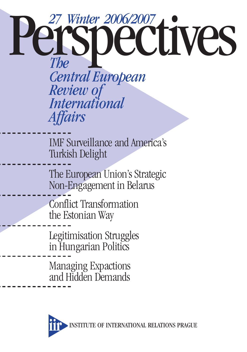# **27 Winter 2006/2007<br>Particle CONCERTS** *Central European Review of International Affairs*

IMF Surveillance and America's Turkish Delight

The European Union's Strategic Non-Engagement in Belarus

Conflict Transformation the Estonian Way

Legitimisation Struggles in Hungarian Politics

Managing Expactions and Hidden Demands

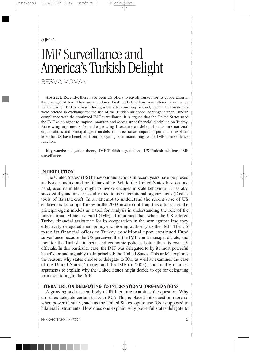$5 \triangleright 24$ 

# IMF Surveillance and America's Turkish Delight

BESMA MOMANI

**Abstract:** Recently, there have been US offers to payoff Turkey for its cooperation in the war against Iraq. They are as follows: First, USD 6 billion were offered in exchange for the use of Turkey's bases during a US attack on Iraq; second, USD 1 billion dollars were offered in exchange for the use of the Turkish air space, contingent upon Turkish compliance with the continued IMF surveillance. It is argued that the United States used the IMF as an agent to impose, monitor, and assess strict financial discipline on Turkey. Borrowing arguments from the growing literature on delegation to international organisations and principal-agent models, this case raises important points and explains how the US have benefited from delegating loan monitoring to the IMF's surveillance function.

**Key words:** delegation theory, IMF-Turkish negotiations, US-Turkish relations, IMF surveillance

#### **INTRODUCTION**

The United States' (US) behaviour and actions in recent years have perplexed analysts, pundits, and politicians alike. While the United States has, on one hand, used its military might to invoke changes in state behaviour; it has also successfully and unsuccessfully tried to use international organizations (IOs) as tools of its statecraft. In an attempt to understand the recent case of US endeavours to co-opt Turkey in the 2003 invasion of Iraq, this article uses the principal-agent models as a tool for analysis in understanding the role of the International Monetary Fund (IMF). It is argued that, when the US offered Turkey financial assistance for its cooperation in the war against Iraq they effectively delegated their policy-monitoring authority to the IMF. The US made its financial offers to Turkey conditional upon continued Fund surveillance because the US perceived that the IMF could manage, dictate, and monitor the Turkish financial and economic policies better than its own US officials. In this particular case, the IMF was delegated to by its most powerful benefactor and arguably main principal: the United States. This article explores the reasons why states choose to delegate to IOs, as well as examines the case of the United States, Turkey, and the IMF (in 2003), and finally it raises arguments to explain why the United States might decide to opt for delegating loan monitoring to the IMF.

# **LITERATURE ON DELEGATING TO INTERNATIONAL ORGANIZATIONS**

A growing and nascent body of IR literature examines the question: Why do states delegate certain tasks to IOs? This is placed into question more so when powerful states, such as the United States, opt to use IOs as opposed to bilateral instruments. How does one explain, why powerful states delegate to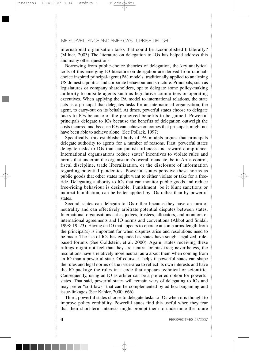international organisation tasks that could be accomplished bilaterally? (Milner, 2003) The literature on delegation to IOs has helped address this and many other questions.

Borrowing from public-choice theories of delegation, the key analytical tools of this emerging IO literature on delegation are derived from rationalchoice inspired principal-agent (PA) models, traditionally applied to analysing US domestic politics and corporate behaviour and structure. Principals, such as legislatures or company shareholders, opt to delegate some policy-making authority to outside agents such as legislative committees or operating executives. When applying the PA model to international relations, the state acts as a principal that delegates tasks for an international organisation, the agent, to carry-out on its behalf. At times, powerful states choose to delegate tasks to IOs because of the perceived benefits to be gained. Powerful principals delegate to IOs because the benefits of delegation outweigh the costs incurred and because IOs can achieve outcomes that principals might not have been able to achieve alone. (See Pollack, 1997)

Specifically, this established body of PA models argues that principals delegate authority to agents for a number of reasons. First, powerful states delegate tasks to IOs that can punish offences and reward compliance. International organisations reduce states' incentives to violate rules and norms that underpin the organisation's overall mandate, be it: Arms control, fiscal discipline, trade liberalization, or the disclosure of information regarding potential pandemics. Powerful states perceive these norms as public goods that other states might want to either violate or take for a freeride. Delegating authority to IOs that can monitor public goods and reduce free-riding behaviour is desirable. Punishment, be it blunt sanctions or indirect humiliation, can be better applied by IOs rather than by powerful states.

Second, states can delegate to IOs rather because they have an aura of neutrality and can effectively arbitrate potential disputes between states. International organisations act as judges, trustees, allocators, and monitors of international agreements and IO norms and conventions (Abbot and Snidal, 1998: 19–23). Having an IO that appears to operate at some arms-length from the principal(s) is important for when disputes arise and resolutions need to be made. The use of IOs has expanded as states have sought legalized, rulebased forums (See Goldstein, et al. 2000). Again, states receiving these rulings might not feel that they are neutral or bias-free; nevertheless, the resolutions have a relatively more neutral aura about them when coming from an IO than a powerful state. Of course, it helps if powerful states can shape the rules and legal norms of the issue-area to reflect its own interests and have the IO package the rules in a code that appears technical or scientific. Consequently, using an IO as arbiter can be a preferred option for powerful states. That said, powerful states will remain wary of delegating to IOs and may prefer "soft laws" that can be complemented by ad hoc bargaining and issue-linkages (See Kahler, 2000: 666).

Third, powerful states choose to delegate tasks to IOs when it is thought to improve policy credibility. Powerful states find this useful when they fear that their short-term interests might prompt them to undermine the future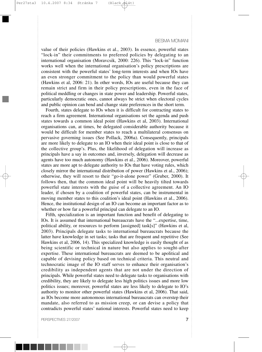value of their policies (Hawkins et al., 2003). In essence, powerful states "lock-in" their commitments to preferred policies by delegating to an international organisation (Moravcsik, 2000: 226). This "lock-in" function works well when the international organisation's policy prescriptions are consistent with the powerful states' long-term interests and when IOs have an even stronger commitment to the policy than would powerful states (Hawkins et al, 2006: 21). In other words, IOs are useful because they can remain strict and firm in their policy prescriptions, even in the face of political meddling or changes in state power and leadership. Powerful states, particularly democratic ones, cannot always be strict when electoral cycles and public opinion can bend and change state preferences in the short term.

Fourth, states delegate to IOs when it is difficult for contracting states to reach a firm agreement. International organisations set the agenda and push states towards a common ideal point (Hawkins et al, 2003). International organisations can, at times, be delegated considerable authority because it would be difficult for member states to reach a multilateral consensus on pervasive governing issues (See Pollack, 2006a). Consequently, principals are more likely to delegate to an IO when their ideal point is close to that of the collective group's. Plus, the likelihood of delegation will increase as principals have a say in outcomes and, inversely, delegation will decrease as agents have too much autonomy (Hawkins et al., 2006). Moreover, powerful states are more apt to delegate authority to IOs that have voting rules, which closely mirror the international distribution of power (Hawkins et al., 2006); otherwise, they will resort to their "go-it-alone power" (Gruber, 2000). It follows then, that the common ideal point will be heavily tilted towards powerful state interests with the guise of a collective agreement. An IO leader, if chosen by a coalition of powerful states, can be instrumental in moving member states to this coalition's ideal point (Hawkins et al., 2006). Hence, the institutional design of an IO can become an important factor as to whether or how far a powerful principal can delegate to an IO.

Fifth, specialization is an important function and benefit of delegating to IOs. It is assumed that international bureaucrats have the "...expertise, time, political ability, or resources to perform [assigned] task[s]" (Hawkins et al, 2003). Principals delegate tasks to international bureaucrats because the latter have knowledge in set tasks; tasks that are frequent and repetitive (See Hawkins et al, 2006, 14). This specialized knowledge is easily thought of as being scientific or technical in nature but also applies to sought-after expertise. These international bureaucrats are deemed to be apolitical and capable of devising policy based on technical criteria. This neutral and technocratic image of the IO staff serves to enhance their organisation's credibility as independent agents that are not under the direction of principals. While powerful states need to delegate tasks to organisations with credibility, they are likely to delegate less high politics issues and more low politics issues; moreover, powerful states are less likely to delegate to IO's authority to monitor other powerful states (Hawkins et al, 2006). That said, as IOs become more autonomous international bureaucrats can overstep their mandate, also referred to as mission creep, or can devise a policy that contradicts powerful states' national interests. Powerful states need to keep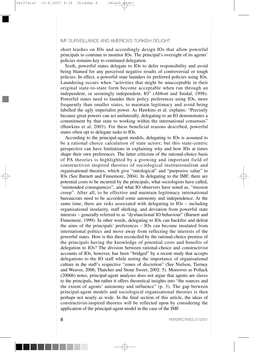short leashes on IOs and accordingly design IOs that allow powerful principals to continue to monitor IOs. The principal's oversight of its agents' policies remains key to continued delegation.

Sixth, powerful states delegate to IOs to defer responsibility and avoid being blamed for any perceived negative results of controversial or tough policies. In effect, a powerful state launders its preferred policies using IOs. Laundering occurs when "activities that might be unacceptable in their original state-to-state form become acceptable when run through an independent, or seemingly independent, IO" (Abbott and Snidal, 1998). Powerful states need to launder their policy preferences using IOs, more frequently than smaller states, to maintain legitimacy and avoid being labelled the ugly imperialist power. As Hawkins et al. explains: "Precisely because great powers can act unilaterally, delegating to an IO demonstrates a commitment by that state to working within the international consensus" (Hawkins et al, 2003). For these beneficial reasons described, powerful states often opt to delegate tasks to IOs.

According to the principal-agent models, delegating to IOs is assumed to be a rational choice calculation of state actors; but this state-centric perspective can have limitations in explaining why and how IOs at times shape their own preferences. The latter criticism of the rational-choice basis of PA theories is highlighted by a growing and important field of constructivist inspired theories of sociological institutionalism and organisational theories, which give "ontological" and "purposive value" to IOs (See Barnett and Finnemore, 2004). In delegating to the IMF, there are potential costs to be incurred by the principals, what sociologists have called, "unintended consequences", and what IO observers have noted as, "mission creep". After all, to be effective and maintain legitimacy international bureaucrats need to be accorded some autonomy and independence. At the same time, there are risks associated with delegating to IOs – including organisational insularity, staff shirking, and deviation from powerful state interests – generally referred to as "dysfunctional IO behaviour" (Barnett and Finnemore, 1999). In other words, delegating to IOs can backfire and defeat the aims of the principals' preferences – IOs can become insulated from international politics and move away from reflecting the interests of the powerful states. How is this then reconciled by the rational-choice premise of the principals having the knowledge of potential costs and benefits of delegation to IOs? The division between rational-choice and constructivist accounts of IOs, however, has been "bridged" by a recent study that accepts delegations to the IO staff while noting the importance of organisational culture in the staff's respective "zones of discretion" (See Nielson, Tierney and Weaver, 2006; Thatcher and Stone Sweet, 2002: 5). Moreover as Pollack (2006b) notes, principal-agent analyses does not argue that agents are slaves to the principals, but rather it offers theoretical insights into "the sources and the extent of agents' autonomy and influence" (p. 3). The gap between principal-agent models and sociological organisational theories is then perhaps not nearly as wide. In the final section of this article, the ideas of constructivist-inspired theories will be reflected upon by considering the application of the principal-agent model in the case of the IMF.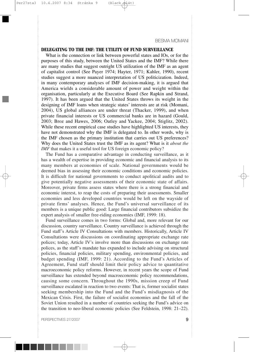#### **DELEGATING TO THE IMF: THE UTILITY OF FUND SURVEILLANCE**

What is the connection or link between powerful states and IOs, or for the purposes of this study, between the United States and the IMF? While there are many studies that suggest outright US utilization of the IMF as an agent of capitalist control (See Payer 1974; Hayter, 1971; Kahler, 1990), recent studies suggest a more nuanced interpretation of US politicization. Indeed, in many contemporary analyses of IMF decision-making, it is argued that America wields a considerable amount of power and weight within the organisation, particularly at the Executive Board (See Rapkin and Strand, 1997). It has been argued that the United States throws its weight in the designing of IMF loans when strategic states' interests are at risk (Momani, 2004), US global alliances are under threat (Thacker, 1999), and when private financial interests or US commercial banks are in hazard (Gould, 2003; Broz and Hawes, 2006; Oatley and Yackee, 2004; Stiglitz, 2002). While these recent empirical case studies have highlighted US interests, they have not demonstrated why the IMF is delegated to. In other words, why is the IMF chosen as the primary institution that carries out US preferences? Why does the United States trust the IMF as its agent? What is it *about the IMF* that makes it a useful tool for US foreign economic policy?

The Fund has a comparative advantage in conducting surveillance, as it has a wealth of expertise in providing economic and financial analysis to its many members at economies of scale. National governments would be deemed bias in assessing their economic conditions and economic policies. It is difficult for national governments to conduct apolitical audits and to give potentially negative assessments of their economic state of affairs. Moreover, private firms assess states where there is a strong financial and economic interest, to reap the costs of preparing their assessments. Smaller economies and less developed countries would be left on the wayside of private firms' analyses. Hence, the Fund's universal surveillance of its members is a unique public good: Large financial contributors subsidize the expert analysis of smaller free-riding economies (IMF, 1999: 18).

Fund surveillance comes in two forms: Global and, more relevant for our discussion, country surveillance. Country surveillance is achieved through the Fund staff's Article IV Consultations with members. Historically, Article IV Consultations were discussions on coordinating appropriate exchange rate polices; today, Article IV's involve more than discussions on exchange rate polices, as the staff's mandate has expanded to include advising on structural policies, financial policies, military spending, environmental policies, and budget spending (IMF, 1999: 21). According to the Fund's Articles of Agreement, Fund staff should limit their policy advice to quantitative macroeconomic policy reforms. However, in recent years the scope of Fund surveillance has extended beyond macroeconomic policy recommendations, causing some concern. Throughout the 1990s, mission creep of Fund surveillance escalated in reaction to two events: That is, former socialist states seeking membership into the Fund and the Fund's misdiagnosis of the Mexican Crisis. First, the failure of socialist economies and the fall of the Soviet Union resulted in a number of countries seeking the Fund's advice on the transition to neo-liberal economic policies (See Feldstein, 1998: 21–22).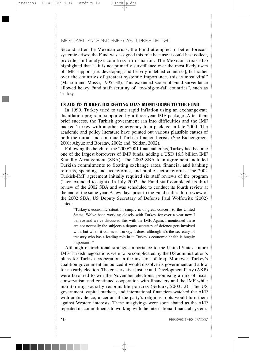Second, after the Mexican crisis, the Fund attempted to better forecast systemic crises; the Fund was assigned this role because it could best collect, provide, and analyze countries' information. The Mexican crisis also highlighted that "...it is not primarily surveillance over the most likely users of IMF support [i.e. developing and heavily indebted countries], but rather over the countries of greatest systemic importance, this is most vital" (Masson and Mussa, 1995: 38). This expanded scope of Fund surveillance allowed heavy Fund staff scrutiny of "too-big-to-fail countries", such as Turkey.

### **US AID TO TURKEY: DELEGATING LOAN MONITORING TO THE FUND**

In 1999, Turkey tried to tame rapid inflation using an exchange-rate disinflation program, supported by a three-year IMF package. After their brief success, the Turkish government ran into difficulties and the IMF backed Turkey with another emergency loan package in late 2000. The academic and policy literature have pointed out various plausible causes of both the initial and continued Turkish financial crisis (See Eichengreen, 2001; Akyuz and Boratav, 2002; and, Yeldan, 2002).

Following the height of the 2000/2001 financial crisis, Turkey had become one of the largest borrowers of IMF funds, adding a USD 16.3 billion IMF Standby Arrangement (SBA). The 2002 SBA loan agreement included Turkish commitments to floating exchange rates, financial and banking reforms, spending and tax reforms, and public sector reforms. The 2002 Turkish-IMF agreement initially required six staff reviews of the program (later extended to eight). In July 2002, the Fund staff completed its third review of the 2002 SBA and was scheduled to conduct its fourth review at the end of the same year. A few days prior to the Fund staff's third review of the 2002 SBA, US Deputy Secretary of Defense Paul Wolfowitz (2002) stated:

"Turkey's economic situation simply is of great concern to the United States. We've been working closely with Turkey for over a year now I believe and we've discussed this with the IMF. Again, I mentioned these are not normally the subjects a deputy secretary of defence gets involved with, but when it comes to Turkey, it does, although it's the secretary of treasury who has a leading role in it. Turkey's economic health is hugely important..."

Although of traditional strategic importance to the United States, future IMF-Turkish negotiations were to be complicated by the US administration's plans for Turkish cooperation in the invasion of Iraq. Moreover, Turkey's coalition government announced it would dissolve its government and allow for an early election. The conservative Justice and Development Party (AKP) were favoured to win the November elections, promising a mix of fiscal conservatism and continued cooperation with financiers and the IMF while maintaining socially responsible policies (Selcuk, 2003: 2). The US government, capital markets, and international financiers watched the AKP with ambivalence, uncertain if the party's religious roots would turn them against Western interests. These misgivings were soon abated as the AKP repeated its commitments to working with the international financial system.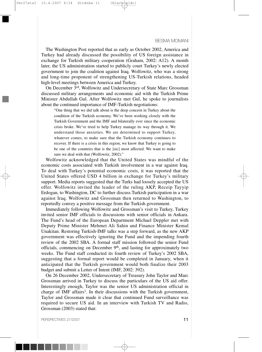The Washington Post reported that as early as October 2002, America and Turkey had already discussed the possibility of US foreign assistance in exchange for Turkish military cooperation (Graham, 2002: A12). A month later, the US administration started to publicly court Turkey's newly elected government to join the coalition against Iraq. Wolfowitz, who was a strong and long-time proponent of strengthening US-Turkish relations, headed high-level meetings between America and Turkey.

On December 3rd, Wolfowitz and Undersecretary of State Marc Grossman discussed military arrangements and economic aid with the Turkish Prime Minister Abdullah Gul. After Wolfowitz met Gul, he spoke to journalists about the continued importance of IMF-Turkish negotiations:

"One thing that we did talk about is the deep concern in Turkey about the condition of the Turkish economy. We've been working closely with the Turkish Government and the IMF and bilaterally ever since the economic crisis broke. We've tried to help Turkey manage its way through it. We understand those anxieties. We are determined to support Turkey, whatever comes, to make sure that the Turkish economy continues to recover. If there is a crisis in this region, we know that Turkey is going to be one of the countries that is the [sic] most affected. We want to make sure we deal with that (Wolfowitz, 2002)."

Wolfowitz acknowledged that the United States was mindful of the economic costs associated with Turkish involvement in a war against Iraq. To deal with Turkey's potential economic costs, it was reported that the United States offered USD 4 billion in exchange for Turkey's military support. Media reports suggested that the Turks had loosely accepted the US offer. Wolfowitz invited the leader of the ruling AKP, Receip Tayyip Erdogan, to Washington, DC to further discuss Turkish participation in a war against Iraq. Wolfowitz and Grossman then returned to Washington, to reportedly convey a positive message from the Turkish government.

Immediately following Wolfowitz and Grossman's visit to Turkey, Turkey invited senior IMF officials to discussions with senior officials in Ankara. The Fund's head of the European Department Michael Deppler met with Deputy Prime Minister Mehmet Ali Sahin and Finance Minister Kemal Unakitan. Restoring Turkish-IMF talks was a step forward, as the new AKP government was effectively ignoring the Fund and the impending fourth review of the 2002 SBA. A formal staff mission followed the senior Fund officials, commencing on December 9th, and lasting for approximately two weeks. The Fund staff conducted its fourth review of Turkey's 2002 SBA, suggesting that a formal report would be completed in January, when it anticipated that the Turkish government would both finalize their 2003 budget and submit a Letter of Intent (IMF, 2002: 392).

On 26 December 2002, Undersecretary of Treasury John Taylor and Marc Grossman arrived in Turkey to discuss the particulars of the US aid offer. Interestingly enough, Taylor was the senior US administration official in charge of IMF affairs<sup>1</sup>. In their discussions with the Turkish government, Taylor and Grossman made it clear that continued Fund surveillance was required to secure US aid. In an interview with Turkish TV and Radio, Grossman (2003) stated that: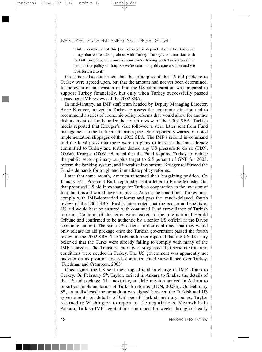"But of course, all of this [aid package] is dependent on all of the other things that we're talking about with Turkey: Turkey's continuation with its IMF program, the conversations we're having with Turkey on other parts of our policy on Iraq. So we're continuing this conversation and we look forward to it."

Grossman also confirmed that the principles of the US aid package to Turkey were agreed upon, but that the amount had not yet been determined. In the event of an invasion of Iraq the US administration was prepared to support Turkey financially, but only when Turkey successfully passed subsequent IMF reviews of the 2002 SBA.

In mid-January, an IMF staff team headed by Deputy Managing Director, Anne Kreuger, arrived in Turkey to assess the economic situation and to recommend a series of economic policy reforms that would allow for another disbursement of funds under the fourth review of the 2002 SBA. Turkish media reported that Kreuger's visit followed a stern letter sent from Fund management to the Turkish authorities; the letter reportedly warned of noted implementation slippages of the 2002 SBA. The IMF's second in-command told the local press that there were no plans to increase the loan already committed to Turkey and further denied any US pressure to do so (TDN, 2003a). Krueger (2003) reiterated that the Fund required Turkey to: reduce the public sector primary surplus target to 6.5 percent of GNP for 2003, reform the banking system, and liberalize investment. Krueger reaffirmed the Fund's demands for tough and immediate policy reforms.

Later that same month, America reiterated their bargaining position. On January 24<sup>th</sup>, President Bush reportedly sent a letter to Prime Minister Gul that promised US aid in exchange for Turkish cooperation in the invasion of Iraq, but this aid would have conditions. Among the conditions: Turkey must comply with IMF-demanded reforms and pass the, much-delayed, fourth review of the 2002 SBA. Bush's letter noted that the economic benefits of US aid would best be ensured with continued Fund surveillance of Turkish reforms. Contents of the letter were leaked to the International Herald Tribune and confirmed to be authentic by a senior US official at the Davos economic summit. The same US official further confirmed that they would only release its aid package once the Turkish government passed the fourth review of the 2002 SBA. The Tribune further reported that the US Treasury believed that the Turks were already failing to comply with many of the IMF's targets. The Treasury, moreover, suggested that serious structural conditions were needed in Turkey. The US government was apparently not budging on its position towards continued Fund surveillance over Turkey. (Friedman and Crampton, 2003)

Once again, the US sent their top official in charge of IMF affairs to Turkey. On February 6<sup>th</sup>, Taylor, arrived in Ankara to finalize the details of the US aid package. The next day, an IMF mission arrived in Ankara to report on implementation of Turkish reforms (TDN, 2003b). On February 8th, an undisclosed memorandum was signed between the Turkish and US governments on details of US use of Turkish military bases. Taylor returned to Washington to report on the negotiations. Meanwhile in Ankara, Turkish-IMF negotiations continued for weeks throughout early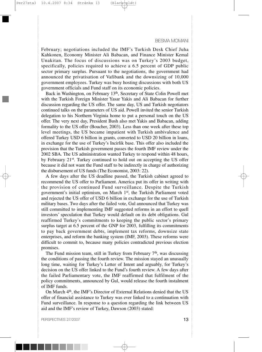February; negotiations included the IMF's Turkish Desk Chief Juha Kahkonen, Economy Minister Ali Babacan, and Finance Minister Kemal Unakitan. The focus of discussions was on Turkey's 2003 budget, specifically, policies required to achieve a 6.5 percent of GDP public sector primary surplus. Pursuant to the negotiations, the government had announced the privatisation of Vafibank and the downsizing of 10,000 government employees. Turkey was busy hosting discussions with both US government officials and Fund staff on its economic policies.

Back in Washington, on February 13th, Secretary of State Colin Powell met with the Turkish Foreign Minister Yasar Yakis and Ali Babacan for further discussion regarding the US offer. The same day, US and Turkish negotiators continued talks on the parameters of US aid. Powell invited the senior Turkish delegation to his Northern Virginia home to put a personal touch on the US offer. The very next day, President Bush also met Yakis and Babacan, adding formality to the US offer (Boucher, 2003). Less than one week after these top level meetings, the US became impatient with Turkish ambivalence and offered Turkey USD 6 billion in grants, converted to USD 20 billion in loans, in exchange for the use of Turkey's Incirlik base. This offer also included the provision that the Turkish government passes the fourth IMF review under the 2002 SBA. The US administration wanted Turkey to respond within 48 hours, by February 21st. Turkey continued to hold out on accepting the US offer because it did not want the Fund staff to be indirectly in charge of authorizing the disbursement of US funds (The Economist, 2003: 22).

A few days after the US deadline passed, the Turkish cabinet agreed to recommend the US offer to Parliament. America put its offer in writing with the provision of continued Fund surveillance. Despite the Turkish government's initial optimism, on March 1st, the Turkish Parliament voted and rejected the US offer of USD 6 billion in exchange for the use of Turkish military bases. Two days after the failed vote, Gul announced that Turkey was still committed to implementing IMF suggested reforms in an effort to quell investors' speculation that Turkey would default on its debt obligations. Gul reaffirmed Turkey's commitments to keeping the public sector's primary surplus target at 6.5 percent of the GNP for 2003, fulfilling its commitments to pay back government debts, implement tax reforms, downsize state enterprises, and reform the banking system (IMF, 2003). These reforms were difficult to commit to, because many policies contradicted previous election promises.

The Fund mission team, still in Turkey from February  $7<sup>th</sup>$ , was discussing the conditions of passing the fourth review. The mission stayed an unusually long time, waiting for Turkey's Letter of Intent and arguably, for Turkey's decision on the US offer linked to the Fund's fourth review. A few days after the failed Parliamentary vote, the IMF reaffirmed that fulfilment of the policy commitments, announced by Gul, would release the fourth instalment of IMF funds.

On March 4th, the IMF's Director of External Relations denied that the US offer of financial assistance to Turkey was ever linked to a continuation with Fund surveillance. In response to a question regarding the link between US aid and the IMF's review of Turkey, Dawson (2003) stated: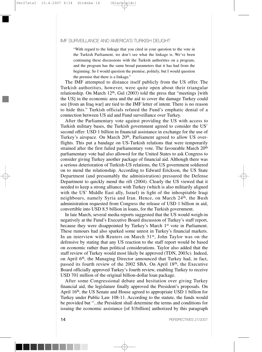"With regard to the linkage that you cited in your question to the vote in the Turkish Parliament, we don't see what the linkage is. We've been continuing these discussions with the Turkish authorities on a program, and the program has the same broad parameters that it has had from the beginning. So I would question the premise, politely, but I would question the premise that there is a linkage."

The IMF attempted to distance itself publicly from the US offer. The Turkish authorities, however, were quite open about their triangular relationship. On March  $12<sup>th</sup>$ , Gul (2003) told the press that "meetings [with the US] in the economic area and the aid to cover the damage Turkey could see [from an Iraq war] are tied to the IMF letter of intent. There is no reason to hide this." Turkish officials refuted the Fund's emphatic denial of a connection between US aid and Fund surveillance over Turkey.

After the Parliamentary vote against providing the US with access to Turkish military bases, the Turkish government agreed to consider the US' second offer: USD 1 billion in financial assistance in exchange for the use of Turkey's airspace. On March 20<sup>th</sup>, Parliament agreed to allow US overflights. This put a bandage on US-Turkish relations that were temporarily strained after the first failed parliamentary vote. The favourable March 20<sup>th</sup> parliamentary vote had also allowed for the United States to ask Congress to consider giving Turkey another package of financial aid. Although there was a serious deterioration of Turkish-US relations, the US government soldiered on to mend the relationship. According to Edward Erickson, the US State Department (and presumably the administration) pressured the Defense Department to quickly mend the rift (2004). Clearly the US viewed that it needed to keep a strong alliance with Turkey (which is also militarily aligned with the US' Middle East ally, Israel) in light of the inhospitable Iraqi neighbours, namely Syria and Iran. Hence, on March 24<sup>th</sup>, the Bush administration requested from Congress the release of USD 1 billion in aid, convertible into USD 8.5 billion in loans, for the Turkish government.

In late March, several media reports suggested that the US would weigh-in negatively at the Fund's Executive Board discussion of Turkey's staff report, because they were disappointed by Turkey's March 1<sup>st</sup> vote in Parliament. These rumours had also sparked some unrest in Turkey's financial markets. In an interview with Reuters on March 31<sup>st</sup>, John Taylor was on the defensive by stating that any US reaction to the staff report would be based on economic rather than political considerations. Taylor also added that the staff review of Turkey would most likely be approved (TDN, 2003c). Indeed, on April 6th, the Managing Director announced that Turkey had, in fact, passed its fourth review of the 2002 SBA. On April 18th, the Executive Board officially approved Turkey's fourth review, enabling Turkey to receive USD 701 million of the original billion-dollar loan package.

After some Congressional debate and hesitation over giving Turkey financial aid, the legislature finally approved the President's proposals. On April 16<sup>th</sup>, the US Senate and House agreed to appropriate USD 1 billion for Turkey under Public Law 108-11. According to the statute, the funds would be provided but "...the President shall determine the terms and conditions for issuing the economic assistance [of \$1billion] authorized by this paragraph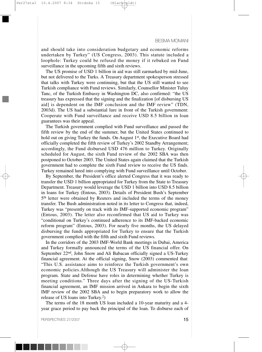and should take into consideration budgetary and economic reforms undertaken by Turkey" (US Congress, 2003). This statute included a loophole: Turkey could be refused the money if it rebuked on Fund surveillance in the upcoming fifth and sixth reviews.

The US promise of USD 1 billion in aid was still earmarked by mid-June, but not delivered to the Turks. A Treasury department spokesperson stressed that talks with Turkey were continuing, but that the US still wanted to see Turkish compliance with Fund reviews. Similarly, Counsellor Minister Tuluy Tanc, of the Turkish Embassy in Washington DC, also confirmed: "the US treasury has expressed that the signing and the finalization [of disbursing US aid] is dependent on the IMF conclusion and the IMF review" (TDN, 2003d). The US had a substantial lure in front of the Turkish government: Cooperate with Fund surveillance and receive USD 8.5 billion in loan guarantees was their appeal.

The Turkish government complied with Fund surveillance and passed the fifth review by the end of the summer, but the United States continued to hold out on giving Turkey the funds. On August 1<sup>st</sup>, the Executive Board had officially completed the fifth review of Turkey's 2002 Standby Arrangement; accordingly, the Fund disbursed USD 476 million to Turkey. Originally scheduled for August, the sixth Fund review of the 2002 SBA was then postponed to October 2003. The United States again claimed that the Turkish government had to complete the sixth Fund review to receive the US finds. Turkey remained lured into complying with Fund surveillance until October.

By September, the President's office alerted Congress that it was ready to transfer the USD 1 billion appropriated for Turkey from the State to Treasury Department. Treasury would leverage the USD 1 billion into USD 8.5 billion in loans for Turkey (Entous, 2003). Details of President Bush's September 5<sup>th</sup> letter were obtained by Reuters and included the terms of the money transfer. The Bush administration noted in its letter to Congress that, indeed, Turkey was "presently on track with its IMF-supported economic program" (Entous, 2003). The letter also reconfirmed that US aid to Turkey was "conditional on Turkey's continued adherence to its IMF-backed economic reform program" (Entous, 2003). For nearly five months, the US delayed disbursing the funds appropriated for Turkey to ensure that the Turkish government complied with the fifth and sixth Fund reviews.

In the corridors of the 2003 IMF-World Bank meetings in Dubai, America and Turkey formally announced the terms of the US financial offer. On September 22<sup>nd</sup>, John Snow and Ali Babacan officially signed a US-Turkey financial agreement. At the official signing, Snow (2003) commented that: "This U.S. assistance aims to reinforce the Turkish government's own economic policies.Although the US Treasury will administer the loan program. State and Defense have roles in determining whether Turkey is meeting conditions." Three days after the signing of the US-Turkish financial agreement, an IMF mission arrived in Ankara to begin the sixth IMF review of the 2002 SBA and to begin preparatory work to allow the release of US loans into Turkey.2)

The terms of the 18 month US loan included a 10-year maturity and a 4 year grace period to pay back the principal of the loan. To disburse each of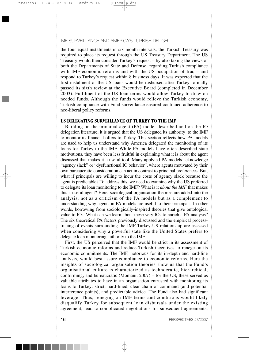the four equal instalments in six month intervals, the Turkish Treasury was required to place its request through the US Treasury Department. The US Treasury would then consider Turkey's request – by also taking the views of both the Departments of State and Defense, regarding Turkish compliance with IMF economic reforms and with the US occupation of Iraq – and respond to Turkey's request within 8 business days. It was expected that the first instalment of the US loans would be disbursed after Turkey formally passed its sixth review at the Executive Board (completed in December 2003). Fulfilment of the US loan terms would allow Turkey to draw on needed funds. Although the funds would relieve the Turkish economy, Turkish compliance with Fund surveillance ensured continued adherence to neo-liberal policy reforms.

# **US DELEGATING SURVEILLANCE OF TURKEY TO THE IMF**

Building on the principal-agent (PA) model described and on the IO delegation literature, it is argued that the US delegated its authority to the IMF to monitor its financial offers to Turkey. This section reflects how PA models are used to help us understand why America delegated the monitoring of its loans for Turkey to the IMF. While PA models have often described state motivations, they have been less fruitful in explaining what it is about the agent discussed that makes it a useful tool. Many applyied PA models acknowledge "agency slack" or "dysfunctional IO behavior", where agents motivated by their own bureaucratic consideration can act in contrast to principal preferences. But, what if principals are willing to incur the costs of agency slack because the agent is predictable? To address this, we need to examine why the US preferred to delegate its loan monitoring to the IMF? What is it *about the IMF* that makes this a useful agent? Here, sociological organisation theories are added into the analysis, not as a criticism of the PA models but as a complement to understanding why agents in PA models are useful to their principals. In other words, borrowing from sociologically-inspired theories that give ontological value to IOs: What can we learn about these very IOs to enrich a PA analysis? The six theoretical PA factors previously discussed and the empirical processtracing of events surrounding the IMF-Turkey-US relationship are assessed when considering why a powerful state like the United States prefers to delegate loan monitoring authority to the IMF.

First, the US perceived that the IMF would be strict in its assessment of Turkish economic reforms and reduce Turkish incentives to renege on its economic commitments. The IMF, notorious for its in-depth and hard-line analysis, would best assure compliance to economic reforms. Here the insights of sociological organisation theories show us that the Fund's organisational culture is characterized as technocratic, hierarchical, conforming, and bureaucratic (Momani, 2007) – for the US, these served as valuable attributes to have in an organisation entrusted with monitoring its loans to Turkey: strict, hard-lined, clear chain of command (and potential interference points), and predictable advice. The Fund also had significant leverage: Thus, reneging on IMF terms and conditions would likely disqualify Turkey for subsequent loan disbursals under the existing agreement, lead to complicated negotiations for subsequent agreements,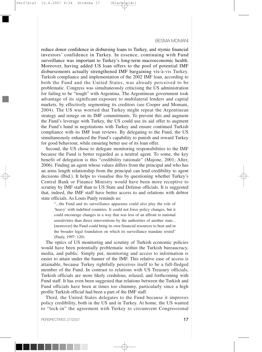reduce donor confidence in disbursing loans to Turkey, and stymie financial investors' confidence in Turkey. In essence, continuing with Fund surveillance was important to Turkey's long-term macroeconomic health. Moreover, having added US loan offers to the pool of potential IMF disbursements actually strengthened IMF bargaining vis-à-vis Turkey. Turkish compliance and implementation of the 2002 IMF loan, according to both the Fund and the United States, was already perceived to be problematic. Congress was simultaneously criticising the US administration for failing to be "tough" with Argentina. The Argentinean government took advantage of its significant exposure to multilateral lenders and capital markets, by effectively segmenting its creditors (see Cooper and Momani, 2004). The US was worried that Turkey might repeat the Argentinean strategy and renege on its IMF commitments. To prevent this and augment the Fund's leverage with Turkey, the US could use its aid offer to augment the Fund's hand in negotiations with Turkey and ensure continued Turkish compliance with its IMF loan reviews. By delegating to the Fund, the US simultaneously enhanced the Fund's capability to punish and reward Turkey for good behaviour, while ensuring better use of its loan offer.

Second, the US chose to delegate monitoring responsibilities to the IMF because the Fund is better regarded as a neutral agent. To some, the key benefit of delegation is this "credibility rationale" (Majone, 2001; Alter, 2006). Finding an agent whose values differs from the principal and who has an arms length relationship from the principal can lend credibility to agent decisions (Ibid.). It helps to visualise this by questioning whether Turkey's Central Bank or Finance Ministry would have been more receptive to scrutiny by IMF staff than to US State and Defense officials. It is suggested that, indeed, the IMF staff have better access to and relations with debtor state officials. As Louis Pauly reminds us:

"...the Fund and its surveillance apparatus could also play the role of 'heavy' with indebted countries. It could not force policy changes, but it could encourage changes in a way that was less of an affront to national sensitivities than direct interventions by the authorities of another state... [moreover] the Fund could bring its own financial resources to bear and in the broader legal foundation on which its surveillance mandate rested" (Pauly, 1997: 120).

The optics of US monitoring and scrutiny of Turkish economic policies would have been potentially problematic within the Turkish bureaucracy, media, and public. Simply put, monitoring and access to information is easier to attain under the banner of the IMF. This relative ease of access is attainable, because Turkey rightfully perceives itself to be a full-fledged member of the Fund. In contrast to relations with US Treasury officials, Turkish officials are more likely credulous, relaxed, and forthcoming with Fund staff. It has even been suggested that relations between the Turkish and Fund officials have been at times too chummy, particularly since a high profile Turkish official had been a part of the IMF staff.

Third, the United States delegates to the Fund because it improves policy credibility, both in the US and in Turkey. At home, the US wanted to "lock-in" the agreement with Turkey to circumvent Congressional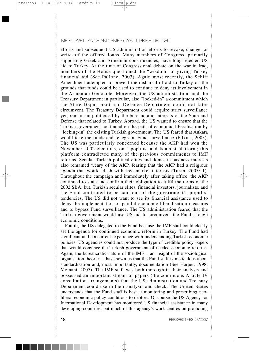efforts and subsequent US administration efforts to revoke, change, or write-off the offered loans. Many members of Congress, primarily supporting Greek and Armenian constituencies, have long rejected US aid to Turkey. At the time of Congressional debate on the war in Iraq, members of the House questioned the "wisdom" of giving Turkey financial aid (See Pallone, 2003). Again most recently, the Schiff Amendment attempted to prevent the disbursal of aid to Turkey on the grounds that funds could be used to continue to deny its involvement in the Armenian Genocide. Moreover, the US administration, and the Treasury Department in particular, also "locked-in" a commitment which the State Department and Defence Department could not later circumvent. The Treasury Department could acquire strict surveillance yet, remain un-politicised by the bureaucratic interests of the State and Defense that related to Turkey. Abroad, the US wanted to ensure that the Turkish government continued on the path of economic liberalisation by "locking-in" the existing Turkish government. The US feared that Ankara would take the funds and renege on Fund surveillance (Filkins, 2003). The US was particularly concerned because the AKP had won the November 2002 elections, on a populist and Islamist platform; this platform contradicted many of the previous commitments to IMF reforms. Secular Turkish political elites and domestic business interests also remained weary of the AKP, fearing that the AKP had a religious agenda that would clash with free market interests (Turan, 2003: 1). Throughout the campaign and immediately after taking office, the AKP continued to state and confirm their obligation to fulfil the terms of the 2002 SBA; but, Turkish secular elites, financial investors, journalists, and the Fund continued to be cautious of the government's populist tendencies. The US did not want to see its financial assistance used to delay the implementation of painful economic liberalisation measures and to bypass Fund surveillance. The US administration feared that the Turkish government would use US aid to circumvent the Fund's tough economic conditions.

Fourth, the US delegated to the Fund because the IMF staff could clearly set the agenda for continued economic reform in Turkey. The Fund had significant and concurrent experience with understanding Turkish economic policies. US agencies could not produce the type of credible policy papers that would convince the Turkish government of needed economic reforms. Again, the bureaucratic nature of the  $IMF -$ an insight of the sociological organisation theories – has shown us that the Fund staff is meticulous about standardisation and, most importantly, documentation (See Harper, 1998; Momani, 2007). The IMF staff was both thorough in their analysis and possessed an important stream of papers (the continuous Article IV consultation arrangements) that the US administration and Treasury Department could use in their analysis and check. The United States understands that the Fund staff is best at monitoring and prescribing neoliberal economic policy conditions to debtors. Of course the US Agency for International Development has monitored US financial assistance in many developing countries, but much of this agency's work centres on promoting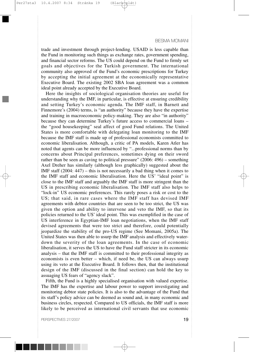trade and investment through project-lending. USAID is less capable than the Fund in monitoring such things as exchange rates, government spending, and financial sector reforms. The US could depend on the Fund to firmly set goals and objectives for the Turkish government. The international community also approved of the Fund's economic prescriptions for Turkey by accepting the initial agreement at the economically representative Executive Board. The existing 2002 SBA loan agreement was a common ideal point already accepted by the Executive Board.

Here the insights of sociological organisation theories are useful for understanding why the IMF, in particular, is effective at ensuring credibility and setting Turkey's economic agenda. The IMF staff, in Barnett and Finnemore's (2004) terms, is "an authority" because they have the expertise and training in macroeconomic policy-making. They are also "in authority" because they can determine Turkey's future access to commercial loans – the "good housekeeping" seal affect of good Fund relations. The United States is more comfortable with delegating loan monitoring to the IMF because the IMF staff is made up of professional economists committed to economic liberalisation. Although, a critic of PA models, Karen Atler has noted that agents can be more influenced by "...professional norms than by concerns about Principal preferences, sometimes dying on their sword rather than be seen as caving to political pressure" (2006: 496) – something Axel Dreher has similarly (although less graphically) suggested about the IMF staff (2004: 447) – this is not necessarily a bad thing when it comes to the IMF staff and economic liberalisation. Here the US' "ideal point" is close to the IMF staff and arguably the IMF staff is more stringent than the US in prescribing economic liberalisation. The IMF staff also helps to "lock-in" US economic preferences. This rarely poses a risk or cost to the US; that said, in rare cases where the IMF staff has devised IMF agreements with debtor countries that are seen to be too strict, the US was given the option and ability to intervene and veto the IMF, so that its policies returned to the US' ideal point. This was exemplified in the case of US interference in Egyptian-IMF loan negotiations, when the IMF staff devised agreements that were too strict and therefore, could potentially jeopardize the stability of the pro-US regime (See Momani, 2005a). The United States was then able to usurp the IMF analysis and effectively waterdown the severity of the loan agreements. In the case of economic liberalisation, it serves the US to have the Fund staff stricter in its economic analysis – that the IMF staff is committed to their professional integrity as economists is even better – which, if need be, the US can always usurp using its veto at the Executive Board. It follows then, that the institutional design of the IMF (discussed in the final section) can hold the key to assuaging US fears of "agency slack".

Fifth, the Fund is a highly specialised organisation with valued expertise. The IMF has the expertise and labour power to support investigating and monitoring debtor state policies. It is also to the advantage of the Fund that its staff's policy advice can be deemed as sound and, in many economic and business circles, respected. Compared to US officials, the IMF staff is more likely to be perceived as international civil servants that use economic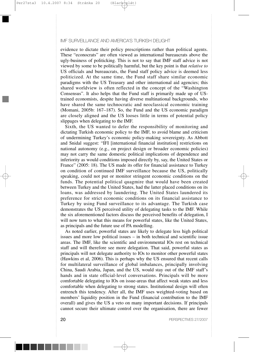evidence to dictate their policy prescriptions rather than political agents. These "econocrats" are often viewed as international bureaucrats above the ugly-business of politicking. This is not to say that IMF staff advice is not viewed by some to be politically harmful, but the key point is that *relative to* US officials and bureaucrats, the Fund staff policy advice is deemed less politicized. At the same time, the Fund staff share similar economic paradigms with the US Treasury and other international aid agencies; this shared worldview is often reflected in the concept of the "Washington Consensus". It also helps that the Fund staff is primarily made up of UStrained economists, despite having diverse multinational backgrounds, who have shared the same technocratic and neoclassical economic training (Momani, 2005b: 167–187). So, the Fund and the US economic paradigm are closely aligned and the US looses little in terms of potential policy slippages when delegating to the IMF.

Sixth, the US wanted to defer the responsibility of monitoring and dictating Turkish economic policy to the IMF, to avoid blame and criticism of undermining Turkey's economic policy-making sovereignty. As Abbott and Snidal suggest: "IFI [international financial institution] restrictions on national autonomy (e.g., on project design or broader economic policies) may not carry the same domestic political implications of dependence and inferiority as would conditions imposed directly by, say, the United States or France" (2005: 18). The US made its offer for financial assistance to Turkey on condition of continued IMF surveillance because the US, politically speaking, could not put or monitor stringent economic conditions on the funds. The potential political quagmire that would have been created between Turkey and the United States, had the latter placed conditions on its loans, was addressed by laundering. The United States laundered its preference for strict economic conditions on its financial assistance to Turkey by using Fund surveillance to its advantage. The Turkish case demonstrates the US perceived utility of delegating tasks to the IMF. While the six aforementioned factors discuss the perceived benefits of delegation, I will now turn to what this means for powerful states, like the United States, as principals and the future use of PA modelling.

As noted earlier, powerful states are likely to delegate less high political issues and more low political issues – in both technical and scientific issue areas. The IMF, like the scientific and environmental IOs rest on technical staff and will therefore see more delegation. That said, powerful states as principals will not delegate authority to IOs to monitor other powerful states (Hawkins et al, 2006). This is perhaps why the US ensured that recent calls for multilateral surveillance of global imbalances, principally involving China, Saudi Arabia, Japan, and the US, would stay out of the IMF staff's hands and in state official-level conversations. Principals will be more comfortable delegating to IOs on issue-areas that affect weak states and less comfortable when delegating to strong states. Institutional design will often entrench this tendency. After all, the IMF uses weighted-voting based on members' liquidity position in the Fund (financial contribution to the IMF overall) and gives the US a veto on many important decisions. If principals cannot secure their ultimate control over the organisation, there are fewer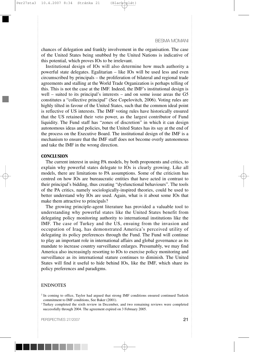chances of delegation and frankly involvement in the organisation. The case of the United States being snubbed by the United Nations is indicative of this potential, which proves IOs to be irrelevant.

Institutional design of IOs will also determine how much authority a powerful state delegates. Egalitarian – like IOs will be used less and even circumscribed by principals – the proliferation of bilateral and regional trade agreements and stalling at the World Trade Organization is perhaps telling of this. This is not the case at the IMF. Indeed, the IMF's institutional design is well – suited to its principal's interests – and on some issue areas the G5 constitutes a "collective principal" (See Copelovitch, 2006). Voting rules are highly tilted in favour of the United States, such that the common ideal point is reflective of US interests. The IMF voting rules have historically ensured that the US retained their veto power, as the largest contributor of Fund liquidity. The Fund staff has "zones of discretion" in which it can design autonomous ideas and policies, but the United States has its say at the end of the process on the Executive Board. The institutional design of the IMF is a mechanism to ensure that the IMF staff does not become overly autonomous and take the IMF in the wrong direction.

#### **CONCLUSION**

The current interest in using PA models, by both proponents and critics, to explain why powerful states delegate to IOs is clearly growing. Like all models, there are limitations to PA assumptions. Some of the criticism has centred on how IOs are bureaucratic entities that have acted in contrast to their principal's bidding, thus creating "dysfunctional behaviours". The tools of the PA critics, namely sociologically-inspired theories, could be used to better understand why IOs are used. Again, what is it about some IOs that make them attractive to principals?

The growing principle-agent literature has provided a valuable tool to understanding why powerful states like the United States benefit from delegating policy monitoring authority to international institutions like the IMF. The case of Turkey and the US, ensuing from the invasion and occupation of Iraq, has demonstrated America's perceived utility of delegating its policy preferences through the Fund. The Fund will continue to play an important role in international affairs and global governance as its mandate to increase country surveillance enlarges. Presumably, we may find America also increasingly resorting to IOs to exercise policy monitoring and surveillance as its international stature continues to diminish. The United States will find it useful to hide behind IOs, like the IMF, which share its policy preferences and paradigms.

#### ENDNOTES

<sup>&</sup>lt;sup>1</sup> In coming to office, Taylor had argued that strong IMF conditions ensured continued Turkish commitment to IMF conditions, See Baker (2001).

<sup>2</sup> Turkey completed the sixth review in December, and two remaining reviews were completed successfully through 2004. The agreement expired on 3 February 2005.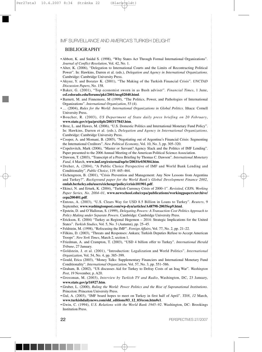#### BIBLIOGRAPHY

- Abbott, K. and Snidal S. (1998), "Why States Act Through Formal International Organizations". *Journal of Conflict Resolution*, Vol. 42, No. 1.
- Alter, K. (2006), "Delegation to International Courts and the Limits of Recontracting Political Power". In: Hawkins, Darren et al. (eds.), *Delegation and Agency in International Organizations*. Cambridge: Cambridge University Press.
- Akyuz, Y. and Boratav K. (2001), "The Making of the Turkish Financial Crisis". *UNCTAD Discussion Papers*, No. 158.
- Baker, G. (2001), "Top economist sworn in as Bush adviser". *Financial Times*, 1 June, **csf.colorado.edu/forums/pkt/2001/msg02040.html**.
- Barnett, M. and Finnemore, M (1999), "The Politics, Power, and Pathologies of International Organizations". *International Organization*, 53 (4).
- … (2004), *Rules for the World: International Organizations in Global Politics*. Ithaca: Cornell University Press.
- Boucher, R. (2003), *US Department of State daily press briefing on 20 February*, **www.state.gov/r/pa/prs/dpb/2003/17843.htm**.
- Broz, L. and Hawes, M. (2006), "U.S. Domestic Politics and International Monetary Fund Policy". In: Hawkins, Darren et al. (eds.), *Delegation and Agency in International Organizations*. Cambridge: Cambridge University Press.
- Cooper, A. and Momani, B. (2005), "Negotiating out of Argentina's Financial Crisis: Segmenting the International Creditors". *New Political Economy*, Vol. 10, No. 3, pp. 305–320.
- Copelovitch, Mark (2006), "Master or Servant? Agency Slack and the Politics of IMF Lending". Paper presented to the 2006 Annual Meeting of the American Political Science Association.
- Dawson, T. (2003), "Transcript of a Press Briefing by Thomas C. Dawson". *International Monetary Fund*, 4 March, **www.imf.org/external/np/tr/2003/tr030304.htm**.
- Dreher, A. (2004), "A Public Choice Perspective of IMF and World Bank Lending and Conditionality". *Public Choice*, 119: 445–464.
- Eichengreen, B. (2001), "Crisis Prevention and Management: Any New Lessons from Argentina and Turkey?". *Background paper for the World Bank's Global Development Finance 2002*, **emlab.berkeley.edu/users/eichengr/policy/crisis101901.pdf**.
- Ekinci, N. and Erturk, K. (2004), "Turkish Currency Crisis of 2000–1". *Revisited, CEPA. Working Paper Series, No. 2004–01*, **www.newschool.edu/cepa/publications/workingpapers/archive/ cepa200401.pdf**.
- Entous, A. (2003), "U.S. Clears Way for USD 8.5 Billion in Loans to Turkey". *Reuters*, 9 September, **www.washingtonpost.com/wp-dyn/articles/A48798-2003Sep9.html**.
- Epstein, D. and O'Halloran, S. (1999), *Delegating Powers: A Transaction Cost Politics Approach to Policy Making under Separate Powers*. Cambridge: Cambridge University Press.
- Erickson, E. (2004) "Turkey as Regional Hegemon 2014: Strategic Implications for the United States". *Turkish Studies*, Vol. 5, No. 3 (Autumn), pp. 25–45.
- Feldstein, M. (1998), "Refocusing the IMF". *Foreign Affairs*, Vol. 77, No. 2, pp. 21–22.
- Filkins, D. (2003), "Threats and Responses: Ankara; Turkish Deputies Refuse to Accept American Troops". *New York Times*, March 2, section 1.
- Friedman, A. and Crampton, T. (2003), "USD 4 billion offer to Turkey". *International Herald Tribune*, 27 January.
- Goldstein, J. et al. (2001), "Introduction: Legalization and World Politics". *International Organization*, Vol. 54, No. 4, pp. 385–399.
- Gould, Erica (2003), "Money Talks: Supplementary Financiers and International Monetary Fund Conditionality". *International Organization*, Vol. 57, No. 3, pp. 551–586.
- Graham, B. (2002), "US discusses Aid for Turkey to Defray Costs of an Iraq War". *Washington Post*, 19 November, p. A20.
- Grossman, M. (2003), *Interview by Turkish TV and Radio*, Washington, DC, 23 January, **www.state.gov/p/16927.htm**.
- Gruber, L. (2000), *Ruling the World: Power Politics and the Rise of Supranational Institutions*. Princeton: Princeton University Press.
- Gul, A. (2003), "IMF board hopes to meet on Turkey in first half of April". *TDN*, *12* March, **www.turkishdailynews.com/old\_editions/03\_12\_03/econ.htm#e1**.
- Gwin, C. (1994), *U.S. Relations with the World Bank 1945–92*. Washington, DC: Brookings Institution Press.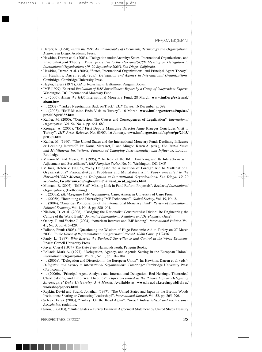- Harper, R. (1998), *Inside the IMF: An Ethnography of Documents, Technology and Organizational Action*. San Diego: Academic Press.
- Hawkins, Darren et al. (2003), "Delegation under Anarchy: States, International Organizations, and Principal-Agent Theory". *Paper presented to the Harvard/UCSD Meeting on Delegation to International Organizations (19–20 September 2003), San Diego, California.*
- *•* Hawkins, Darren et al. (2006), "States, International Organizations, and Principal-Agent Theory". In: Hawkins, Darren et al. (eds.), *Delegation and Agency in International Organizations*. Cambridge: Cambridge University Press.
- Hayter, Teresa (1971), *Aid as Imperialism*. Baltimore: Penguin Books.
- IMF (1999), External *Evaluation of IMF Surveillance: Report by a Group of Independent Experts*. Washington, DC: International Monetary Fund.
- … (2000), *About the IMF.* International Monetary Fund, 28 March, **www.imf.org/external/ about.htm**.
- … (2002), "Turkey Negotiations Back on Track". *IMF Survey*, 16 December, p. 392.
- … (2003), "IMF Mission Ends Visit to Turkey". 10 March, **www.imf.org/external/np/sec/ pr/2003/pr0332.htm**.
- Kahler, M. (2000), "Conclusion: The Causes and Consequences of Legalization". *International Organization*, Vol. 54, No. 4, pp. 661–683.
- Kreuger, A. (2003), "IMF First Deputy Managing Director Anne Krueger Concludes Visit to Turkey". *IMF Press Release*, No. 03/05, 16 January, **www.imf.org/external/np/sec/pr/2003/ pr0305.htm**.
- Kahler, M. (1990), "The United States and the International Monetary Fund: Declining Influence or Declining Interest?". In: Karns, Margaret, P. and Mingot, Karen A. (eds.), *The United States and Multilateral Institutions: Patterns of Changing Instrumentality and Influence*. London: Routledge.
- Masson M. and Mussa, M. (1995), "The Role of the IMF: Financing and Its Interactions with Adjustment and Surveillance". *IMF Pamphlet Series*, No. 50. Washington, DC: IMF.
- Milner, Helen V. (2003), "Why Delegate the Allocation of Foreign Aid to Multinational Organizations? Principal-Agent Problems and Multilateralism". *Paper presented to the Harvard/UCSD Meeting on Delegation to International Organizations, San Diego, 19–20 September,* **faculty.wm.edu/mjtier/html/harvard\_ucsd\_agenda.html**.
- Momani, B. (2007), "IMF Staff: Missing Link in Fund Reform Proposals". *Review of International Organizations*, (Forthcoming).
- … (2005a), *IMF-Egyptian Debt Negotiations*. Cairo: American University of Cairo Press.
- … (2005b), "Recruiting and Diversifying IMF Technocrats". *Global Society*, Vol. 19, No. 2.
- … (2004), "American Politicization of the International Monetary Fund". *Review of International Political Economy*, Vol. 1, No. 5, pp. 880–904.
- Nielson, D. et al. (2006), "Bridging the Rationalist-Constructivist Divide: Re-Engineering the Culture of the World Bank". *Journal of International Relations and Development* (June).
- Oatley, T. and Yackee J. (2004), "American interests and IMF lending". *International Politics*, Vol. 41, No. 3, pp. 415–429.
- Pallone, Frank (2003), "Questioning the Wisdom of Huge Economic Aid to Turkey on 27 March 2003". *To the House of Representatives. Congressional Record, 108th Cong.*, p H2456.
- Pauly, L. (1997), *Who Elected the Bankers? Surveillance and Control in the World Economy*. Ithaca: Cornell University Press.
- Payer, Cheryl (1974*), The Debt Trap*. Harmondsworth: Penguin Books.
- Pollack, Mark A. (1997), "Delegation, Agency, and Agenda Setting in the European Union". *International Organization,* Vol. 51, No. 1, pp. 102–104.
- … (2006a), "Delegation and Discretion in the European Union". In: Hawkins, Darren et al. (eds.), *Delegation and Agency in International Organizations*. Cambridge: Cambridge University Press (Forthcoming).
- … (2006b), "Principal-Agent Analysis and International Delegation: Red Herrings, Theoretical Clarifications, and Empirical Disputes". *Paper presented at the "Workshop on Delegating Sovereignty' Duke University, 3–4 March*. Available at: **www.law.duke.edu/publiclaw/ workshop/papers.html**.
- Rapkin, David and Strand, Jonathan (1997), "The United States and Japan in the Bretton Woods Institutions: Sharing or Contesting Leadership?". *International Journal*, Vol. 52, pp. 265–296.
- Selcuk, Faruk (2003), "Turkey: On the Road Again". *Turkish Industrialists' and Businessmen Association*, **tusiad.us.**
- **•** Snow, J. (2003), "United States Turkey Financial Agreement Statement by United States Treasury